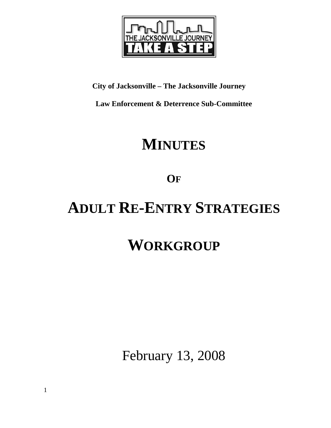

# **City of Jacksonville – The Jacksonville Journey**

**Law Enforcement & Deterrence Sub-Committee** 

# **MINUTES**

# **OF**

# **ADULT RE-ENTRY STRATEGIES**

# **WORKGROUP**

February 13, 2008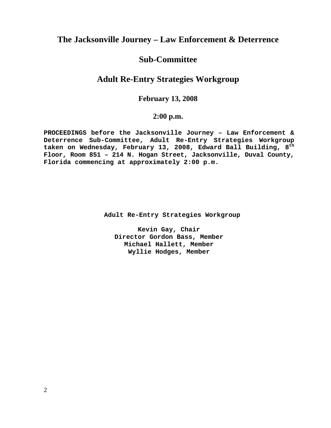# **The Jacksonville Journey – Law Enforcement & Deterrence**

# **Sub-Committee**

# **Adult Re-Entry Strategies Workgroup**

### **February 13, 2008**

### **2:00 p.m.**

**PROCEEDINGS before the Jacksonville Journey – Law Enforcement & Deterrence Sub-Committee, Adult Re-Entry Strategies Workgroup taken on Wednesday, February 13, 2008, Edward Ball Building, 8th Floor, Room 851 – 214 N. Hogan Street, Jacksonville, Duval County, Florida commencing at approximately 2:00 p.m.** 

 **Adult Re-Entry Strategies Workgroup** 

**Kevin Gay, Chair Director Gordon Bass, Member Michael Hallett, Member Wyllie Hodges, Member**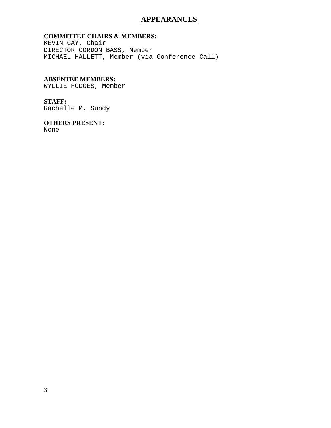### **APPEARANCES**

#### **COMMITTEE CHAIRS & MEMBERS:**

KEVIN GAY, Chair DIRECTOR GORDON BASS, Member MICHAEL HALLETT, Member (via Conference Call)

#### **ABSENTEE MEMBERS:**

WYLLIE HODGES, Member

#### **STAFF:**

Rachelle M. Sundy

#### **OTHERS PRESENT:**

None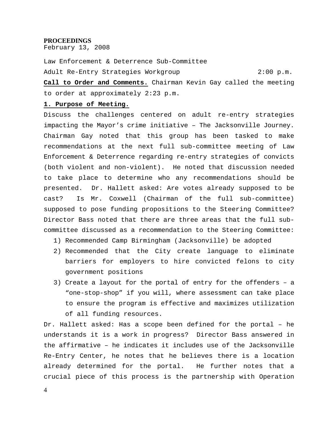#### **PROCEEDINGS**

February 13, 2008

Law Enforcement & Deterrence Sub-Committee Adult Re-Entry Strategies Workgroup 2:00 p.m.

**Call to Order and Comments.** Chairman Kevin Gay called the meeting to order at approximately 2:23 p.m.

#### **1. Purpose of Meeting.**

Discuss the challenges centered on adult re-entry strategies impacting the Mayor's crime initiative – The Jacksonville Journey. Chairman Gay noted that this group has been tasked to make recommendations at the next full sub-committee meeting of Law Enforcement & Deterrence regarding re-entry strategies of convicts (both violent and non-violent). He noted that discussion needed to take place to determine who any recommendations should be presented. Dr. Hallett asked: Are votes already supposed to be cast? Is Mr. Coxwell (Chairman of the full sub-committee) supposed to pose funding propositions to the Steering Committee? Director Bass noted that there are three areas that the full subcommittee discussed as a recommendation to the Steering Committee:

- 1) Recommended Camp Birmingham (Jacksonville) be adopted
- 2) Recommended that the City create language to eliminate barriers for employers to hire convicted felons to city government positions
- 3) Create a layout for the portal of entry for the offenders a "one-stop-shop" if you will, where assessment can take place to ensure the program is effective and maximizes utilization of all funding resources.

Dr. Hallett asked: Has a scope been defined for the portal – he understands it is a work in progress? Director Bass answered in the affirmative – he indicates it includes use of the Jacksonville Re-Entry Center, he notes that he believes there is a location already determined for the portal. He further notes that a crucial piece of this process is the partnership with Operation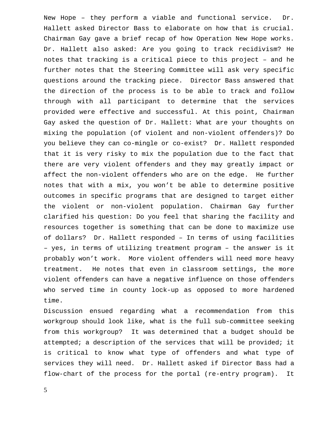New Hope – they perform a viable and functional service. Dr. Hallett asked Director Bass to elaborate on how that is crucial. Chairman Gay gave a brief recap of how Operation New Hope works. Dr. Hallett also asked: Are you going to track recidivism? He notes that tracking is a critical piece to this project – and he further notes that the Steering Committee will ask very specific questions around the tracking piece. Director Bass answered that the direction of the process is to be able to track and follow through with all participant to determine that the services provided were effective and successful. At this point, Chairman Gay asked the question of Dr. Hallett: What are your thoughts on mixing the population (of violent and non-violent offenders)? Do you believe they can co-mingle or co-exist? Dr. Hallett responded that it is very risky to mix the population due to the fact that there are very violent offenders and they may greatly impact or affect the non-violent offenders who are on the edge. He further notes that with a mix, you won't be able to determine positive outcomes in specific programs that are designed to target either the violent or non-violent population. Chairman Gay further clarified his question: Do you feel that sharing the facility and resources together is something that can be done to maximize use of dollars? Dr. Hallett responded – In terms of using facilities – yes, in terms of utilizing treatment program – the answer is it probably won't work. More violent offenders will need more heavy treatment. He notes that even in classroom settings, the more violent offenders can have a negative influence on those offenders who served time in county lock-up as opposed to more hardened time.

Discussion ensued regarding what a recommendation from this workgroup should look like, what is the full sub-committee seeking from this workgroup? It was determined that a budget should be attempted; a description of the services that will be provided; it is critical to know what type of offenders and what type of services they will need. Dr. Hallett asked if Director Bass had a flow-chart of the process for the portal (re-entry program). It

5